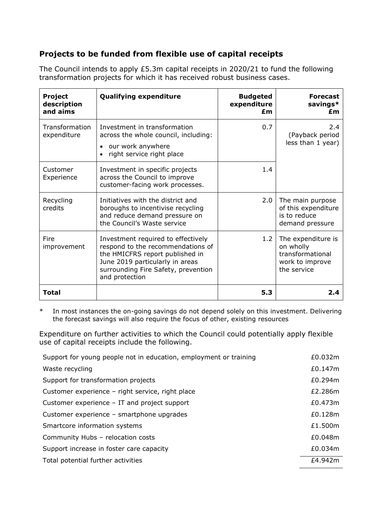## **Projects to be funded from flexible use of capital receipts**

The Council intends to apply £5.3m capital receipts in 2020/21 to fund the following transformation projects for which it has received robust business cases.

| <b>Project</b><br>description<br>and aims | <b>Qualifying expenditure</b>                                                                                                                                                                          | <b>Budgeted</b><br>expenditure<br>£m | <b>Forecast</b><br>savings*<br>£m                                                     |  |
|-------------------------------------------|--------------------------------------------------------------------------------------------------------------------------------------------------------------------------------------------------------|--------------------------------------|---------------------------------------------------------------------------------------|--|
| Transformation<br>expenditure             | Investment in transformation<br>across the whole council, including:<br>our work anywhere<br>$\bullet$<br>right service right place                                                                    | 0.7                                  | 2.4<br>(Payback period<br>less than 1 year)                                           |  |
| Customer<br>Experience                    | Investment in specific projects<br>across the Council to improve<br>customer-facing work processes.                                                                                                    | 1.4                                  |                                                                                       |  |
| Recycling<br>credits                      | Initiatives with the district and<br>boroughs to incentivise recycling<br>and reduce demand pressure on<br>the Council's Waste service                                                                 | 2.0                                  | The main purpose<br>of this expenditure<br>is to reduce<br>demand pressure            |  |
| Fire<br>improvement                       | Investment required to effectively<br>respond to the recommendations of<br>the HMICFRS report published in<br>June 2019 particularly in areas<br>surrounding Fire Safety, prevention<br>and protection | 1.2                                  | The expenditure is<br>on wholly<br>transformational<br>work to improve<br>the service |  |
| Total                                     |                                                                                                                                                                                                        | 5.3                                  | 2.4                                                                                   |  |

\* In most instances the on-going savings do not depend solely on this investment. Delivering the forecast savings will also require the focus of other, existing resources

Expenditure on further activities to which the Council could potentially apply flexible use of capital receipts include the following.

| Support for young people not in education, employment or training |         |  |
|-------------------------------------------------------------------|---------|--|
| Waste recycling                                                   | £0.147m |  |
| Support for transformation projects                               | £0.294m |  |
| Customer experience - right service, right place                  | £2.286m |  |
| Customer experience $-$ IT and project support                    | £0.473m |  |
| Customer experience - smartphone upgrades                         | £0.128m |  |
| Smartcore information systems                                     | £1.500m |  |
| Community Hubs - relocation costs                                 | £0.048m |  |
| Support increase in foster care capacity                          | £0.034m |  |
| Total potential further activities                                |         |  |